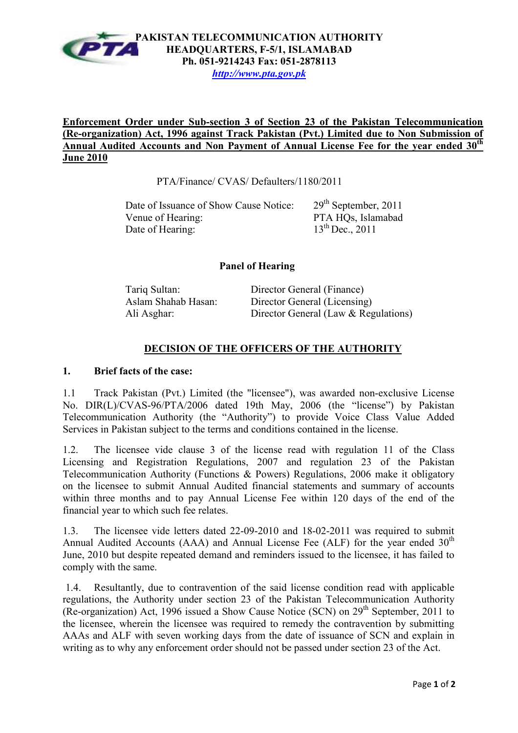

# **Enforcement Order under Sub-section 3 of Section 23 of the Pakistan Telecommunication (Re-organization) Act, 1996 against Track Pakistan (Pvt.) Limited due to Non Submission of**  Annual Audited Accounts and Non Payment of Annual License Fee for the year ended 30<sup>th</sup> **June 2010**

PTA/Finance/ CVAS/ Defaulters/1180/2011

| Date of Issuance of Show Cause Notice: | $29th$ September, 2011 |
|----------------------------------------|------------------------|
| Venue of Hearing:                      | PTA HQs, Islamabad     |
| Date of Hearing:                       | $13^{th}$ Dec., 2011   |

#### **Panel of Hearing**

| Tariq Sultan:       | Director General (Finance)           |
|---------------------|--------------------------------------|
| Aslam Shahab Hasan: | Director General (Licensing)         |
| Ali Asghar:         | Director General (Law & Regulations) |

# **DECISION OF THE OFFICERS OF THE AUTHORITY**

#### **1. Brief facts of the case:**

1.1 Track Pakistan (Pvt.) Limited (the "licensee"), was awarded non-exclusive License No. DIR(L)/CVAS-96/PTA/2006 dated 19th May, 2006 (the "license") by Pakistan Telecommunication Authority (the "Authority") to provide Voice Class Value Added Services in Pakistan subject to the terms and conditions contained in the license.

1.2. The licensee vide clause 3 of the license read with regulation 11 of the Class Licensing and Registration Regulations, 2007 and regulation 23 of the Pakistan Telecommunication Authority (Functions & Powers) Regulations, 2006 make it obligatory on the licensee to submit Annual Audited financial statements and summary of accounts within three months and to pay Annual License Fee within 120 days of the end of the financial year to which such fee relates.

1.3. The licensee vide letters dated 22-09-2010 and 18-02-2011 was required to submit Annual Audited Accounts (AAA) and Annual License Fee (ALF) for the year ended  $30<sup>th</sup>$ June, 2010 but despite repeated demand and reminders issued to the licensee, it has failed to comply with the same.

 1.4. Resultantly, due to contravention of the said license condition read with applicable regulations, the Authority under section 23 of the Pakistan Telecommunication Authority (Re-organization) Act, 1996 issued a Show Cause Notice (SCN) on  $29<sup>th</sup>$  September, 2011 to the licensee, wherein the licensee was required to remedy the contravention by submitting AAAs and ALF with seven working days from the date of issuance of SCN and explain in writing as to why any enforcement order should not be passed under section 23 of the Act.